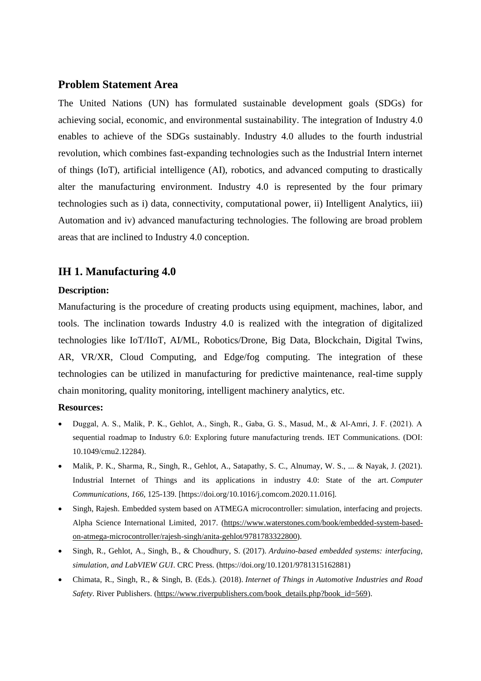## **Problem Statement Area**

The United Nations (UN) has formulated sustainable development goals (SDGs) for achieving social, economic, and environmental sustainability. The integration of Industry 4.0 enables to achieve of the SDGs sustainably. Industry 4.0 alludes to the fourth industrial revolution, which combines fast-expanding technologies such as the Industrial Intern internet of things (IoT), artificial intelligence (AI), robotics, and advanced computing to drastically alter the manufacturing environment. Industry 4.0 is represented by the four primary technologies such as i) data, connectivity, computational power, ii) Intelligent Analytics, iii) Automation and iv) advanced manufacturing technologies. The following are broad problem areas that are inclined to Industry 4.0 conception.

## **IH 1. Manufacturing 4.0**

#### **Description:**

Manufacturing is the procedure of creating products using equipment, machines, labor, and tools. The inclination towards Industry 4.0 is realized with the integration of digitalized technologies like IoT/IIoT, AI/ML, Robotics/Drone, Big Data, Blockchain, Digital Twins, AR, VR/XR, Cloud Computing, and Edge/fog computing. The integration of these technologies can be utilized in manufacturing for predictive maintenance, real-time supply chain monitoring, quality monitoring, intelligent machinery analytics, etc.

#### **Resources:**

- Duggal, A. S., Malik, P. K., Gehlot, A., Singh, R., Gaba, G. S., Masud, M., & Al‐Amri, J. F. (2021). A sequential roadmap to Industry 6.0: Exploring future manufacturing trends. IET Communications. (DOI: 10.1049/cmu2.12284).
- Malik, P. K., Sharma, R., Singh, R., Gehlot, A., Satapathy, S. C., Alnumay, W. S., ... & Nayak, J. (2021). Industrial Internet of Things and its applications in industry 4.0: State of the art. *Computer Communications*, *166*, 125-139. [https://doi.org/10.1016/j.comcom.2020.11.016].
- Singh, Rajesh. Embedded system based on ATMEGA microcontroller: simulation, interfacing and projects. Alpha Science International Limited, 2017. [\(https://www.waterstones.com/book/embedded-system-based](https://www.waterstones.com/book/embedded-system-based-on-atmega-microcontroller/rajesh-singh/anita-gehlot/9781783322800)[on-atmega-microcontroller/rajesh-singh/anita-gehlot/9781783322800\)](https://www.waterstones.com/book/embedded-system-based-on-atmega-microcontroller/rajesh-singh/anita-gehlot/9781783322800).
- Singh, R., Gehlot, A., Singh, B., & Choudhury, S. (2017). *Arduino-based embedded systems: interfacing, simulation, and LabVIEW GUI*. CRC Press. (https://doi.org/10.1201/9781315162881)
- Chimata, R., Singh, R., & Singh, B. (Eds.). (2018). *Internet of Things in Automotive Industries and Road Safety*. River Publishers. [\(https://www.riverpublishers.com/book\\_details.php?book\\_id=569\)](https://www.riverpublishers.com/book_details.php?book_id=569).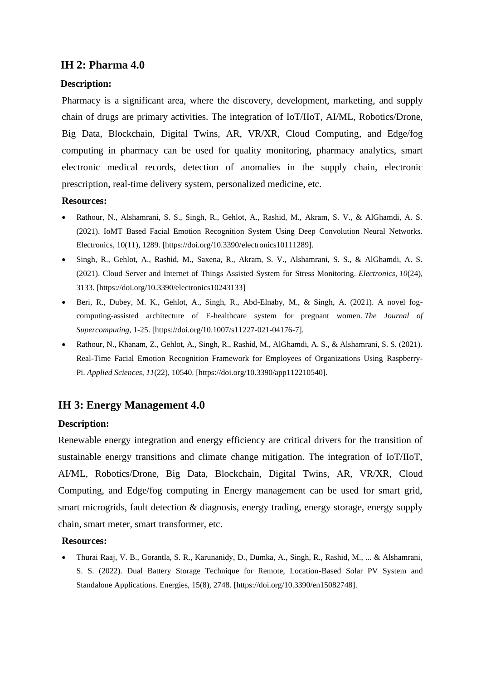# **IH 2: Pharma 4.0**

## **Description:**

Pharmacy is a significant area, where the discovery, development, marketing, and supply chain of drugs are primary activities. The integration of IoT/IIoT, AI/ML, Robotics/Drone, Big Data, Blockchain, Digital Twins, AR, VR/XR, Cloud Computing, and Edge/fog computing in pharmacy can be used for quality monitoring, pharmacy analytics, smart electronic medical records, detection of anomalies in the supply chain, electronic prescription, real-time delivery system, personalized medicine, etc.

#### **Resources:**

- Rathour, N., Alshamrani, S. S., Singh, R., Gehlot, A., Rashid, M., Akram, S. V., & AlGhamdi, A. S. (2021). IoMT Based Facial Emotion Recognition System Using Deep Convolution Neural Networks. Electronics, 10(11), 1289. [https://doi.org/10.3390/electronics10111289].
- Singh, R., Gehlot, A., Rashid, M., Saxena, R., Akram, S. V., Alshamrani, S. S., & AlGhamdi, A. S. (2021). Cloud Server and Internet of Things Assisted System for Stress Monitoring. *Electronics*, *10*(24), 3133. [https://doi.org/10.3390/electronics10243133]
- Beri, R., Dubey, M. K., Gehlot, A., Singh, R., Abd-Elnaby, M., & Singh, A. (2021). A novel fogcomputing-assisted architecture of E-healthcare system for pregnant women. *The Journal of Supercomputing*, 1-25. [https://doi.org/10.1007/s11227-021-04176-7].
- Rathour, N., Khanam, Z., Gehlot, A., Singh, R., Rashid, M., AlGhamdi, A. S., & Alshamrani, S. S. (2021). Real-Time Facial Emotion Recognition Framework for Employees of Organizations Using Raspberry-Pi. *Applied Sciences*, *11*(22), 10540. [https://doi.org/10.3390/app112210540].

# **IH 3: Energy Management 4.0**

## **Description:**

Renewable energy integration and energy efficiency are critical drivers for the transition of sustainable energy transitions and climate change mitigation. The integration of IoT/IIoT, AI/ML, Robotics/Drone, Big Data, Blockchain, Digital Twins, AR, VR/XR, Cloud Computing, and Edge/fog computing in Energy management can be used for smart grid, smart microgrids, fault detection & diagnosis, energy trading, energy storage, energy supply chain, smart meter, smart transformer, etc.

#### **Resources:**

• Thurai Raaj, V. B., Gorantla, S. R., Karunanidy, D., Dumka, A., Singh, R., Rashid, M., ... & Alshamrani, S. S. (2022). Dual Battery Storage Technique for Remote, Location-Based Solar PV System and Standalone Applications. Energies, 15(8), 2748. **[**https://doi.org/10.3390/en15082748].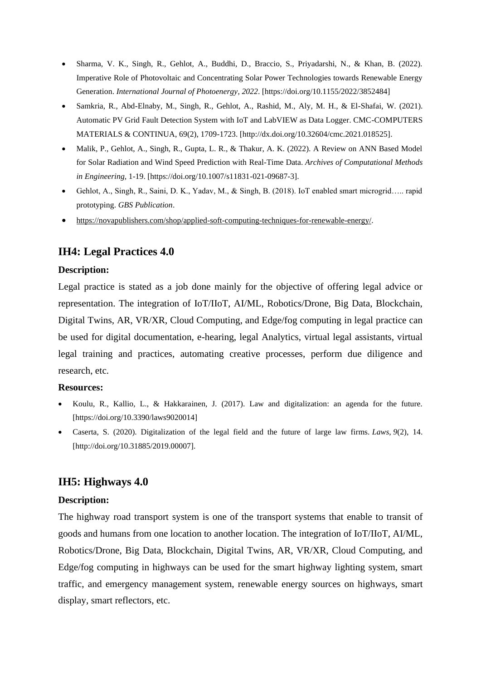- Sharma, V. K., Singh, R., Gehlot, A., Buddhi, D., Braccio, S., Priyadarshi, N., & Khan, B. (2022). Imperative Role of Photovoltaic and Concentrating Solar Power Technologies towards Renewable Energy Generation. *International Journal of Photoenergy*, *2022*. [https://doi.org/10.1155/2022/3852484]
- Samkria, R., Abd-Elnaby, M., Singh, R., Gehlot, A., Rashid, M., Aly, M. H., & El-Shafai, W. (2021). Automatic PV Grid Fault Detection System with IoT and LabVIEW as Data Logger. CMC-COMPUTERS MATERIALS & CONTINUA, 69(2), 1709-1723. [http://dx.doi.org/10.32604/cmc.2021.018525].
- Malik, P., Gehlot, A., Singh, R., Gupta, L. R., & Thakur, A. K. (2022). A Review on ANN Based Model for Solar Radiation and Wind Speed Prediction with Real-Time Data. *Archives of Computational Methods in Engineering*, 1-19. [https://doi.org/10.1007/s11831-021-09687-3].
- Gehlot, A., Singh, R., Saini, D. K., Yadav, M., & Singh, B. (2018). IoT enabled smart microgrid….. rapid prototyping. *GBS Publication*.
- [https://novapublishers.com/shop/applied-soft-computing-techniques-for-renewable-energy/.](https://novapublishers.com/shop/applied-soft-computing-techniques-for-renewable-energy/)

# **IH4: Legal Practices 4.0**

## **Description:**

Legal practice is stated as a job done mainly for the objective of offering legal advice or representation. The integration of IoT/IIoT, AI/ML, Robotics/Drone, Big Data, Blockchain, Digital Twins, AR, VR/XR, Cloud Computing, and Edge/fog computing in legal practice can be used for digital documentation, e-hearing, legal Analytics, virtual legal assistants, virtual legal training and practices, automating creative processes, perform due diligence and research, etc.

## **Resources:**

- Koulu, R., Kallio, L., & Hakkarainen, J. (2017). Law and digitalization: an agenda for the future. [https://doi.org/10.3390/laws9020014]
- Caserta, S. (2020). Digitalization of the legal field and the future of large law firms. *Laws*, *9*(2), 14. [http://doi.org/10.31885/2019.00007].

# **IH5: Highways 4.0**

## **Description:**

The highway road transport system is one of the transport systems that enable to transit of goods and humans from one location to another location. The integration of IoT/IIoT, AI/ML, Robotics/Drone, Big Data, Blockchain, Digital Twins, AR, VR/XR, Cloud Computing, and Edge/fog computing in highways can be used for the smart highway lighting system, smart traffic, and emergency management system, renewable energy sources on highways, smart display, smart reflectors, etc.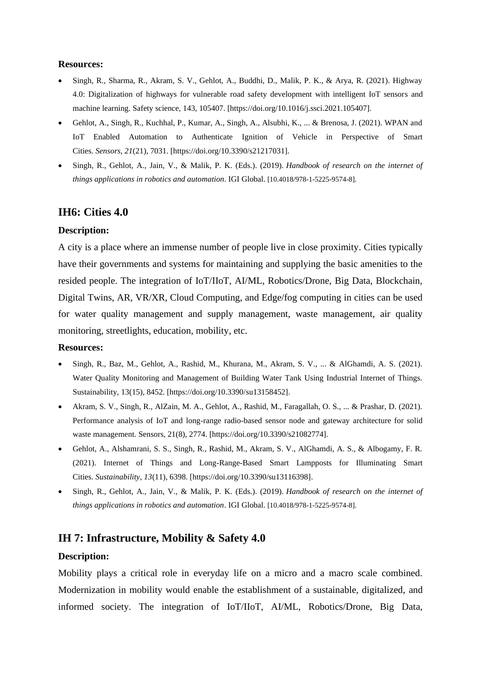### **Resources:**

- Singh, R., Sharma, R., Akram, S. V., Gehlot, A., Buddhi, D., Malik, P. K., & Arya, R. (2021). Highway 4.0: Digitalization of highways for vulnerable road safety development with intelligent IoT sensors and machine learning. Safety science, 143, 105407. [https://doi.org/10.1016/j.ssci.2021.105407].
- Gehlot, A., Singh, R., Kuchhal, P., Kumar, A., Singh, A., Alsubhi, K., ... & Brenosa, J. (2021). WPAN and IoT Enabled Automation to Authenticate Ignition of Vehicle in Perspective of Smart Cities. *Sensors*, *21*(21), 7031. [https://doi.org/10.3390/s21217031].
- Singh, R., Gehlot, A., Jain, V., & Malik, P. K. (Eds.). (2019). *Handbook of research on the internet of things applications in robotics and automation*. IGI Global. [10.4018/978-1-5225-9574-8].

## **IH6: Cities 4.0**

## **Description:**

A city is a place where an immense number of people live in close proximity. Cities typically have their governments and systems for maintaining and supplying the basic amenities to the resided people. The integration of IoT/IIoT, AI/ML, Robotics/Drone, Big Data, Blockchain, Digital Twins, AR, VR/XR, Cloud Computing, and Edge/fog computing in cities can be used for water quality management and supply management, waste management, air quality monitoring, streetlights, education, mobility, etc.

#### **Resources:**

- Singh, R., Baz, M., Gehlot, A., Rashid, M., Khurana, M., Akram, S. V., ... & AlGhamdi, A. S. (2021). Water Quality Monitoring and Management of Building Water Tank Using Industrial Internet of Things. Sustainability, 13(15), 8452. [https://doi.org/10.3390/su13158452].
- Akram, S. V., Singh, R., AlZain, M. A., Gehlot, A., Rashid, M., Faragallah, O. S., ... & Prashar, D. (2021). Performance analysis of IoT and long-range radio-based sensor node and gateway architecture for solid waste management. Sensors, 21(8), 2774. [https://doi.org/10.3390/s21082774].
- Gehlot, A., Alshamrani, S. S., Singh, R., Rashid, M., Akram, S. V., AlGhamdi, A. S., & Albogamy, F. R. (2021). Internet of Things and Long-Range-Based Smart Lampposts for Illuminating Smart Cities. *Sustainability*, *13*(11), 6398. [https://doi.org/10.3390/su13116398].
- Singh, R., Gehlot, A., Jain, V., & Malik, P. K. (Eds.). (2019). *Handbook of research on the internet of things applications in robotics and automation*. IGI Global. [10.4018/978-1-5225-9574-8].

# **IH 7: Infrastructure, Mobility & Safety 4.0**

#### **Description:**

Mobility plays a critical role in everyday life on a micro and a macro scale combined. Modernization in mobility would enable the establishment of a sustainable, digitalized, and informed society. The integration of IoT/IIoT, AI/ML, Robotics/Drone, Big Data,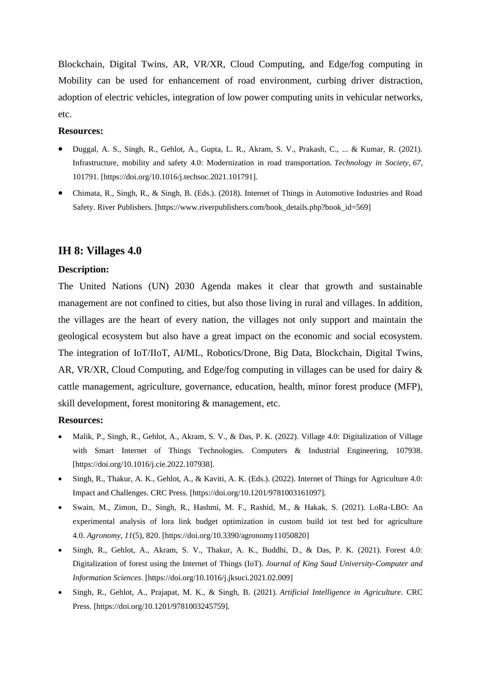Blockchain, Digital Twins, AR, VR/XR, Cloud Computing, and Edge/fog computing in Mobility can be used for enhancement of road environment, curbing driver distraction, adoption of electric vehicles, integration of low power computing units in vehicular networks, etc.

#### **Resources:**

- Duggal, A. S., Singh, R., Gehlot, A., Gupta, L. R., Akram, S. V., Prakash, C., ... & Kumar, R. (2021). Infrastructure, mobility and safety 4.0: Modernization in road transportation. *Technology in Society*, *67*, 101791. [https://doi.org/10.1016/j.techsoc.2021.101791].
- Chimata, R., Singh, R., & Singh, B. (Eds.). (2018). Internet of Things in Automotive Industries and Road Safety. River Publishers. [https://www.riverpublishers.com/book\_details.php?book\_id=569]

## **IH 8: Villages 4.0**

### **Description:**

The United Nations (UN) 2030 Agenda makes it clear that growth and sustainable management are not confined to cities, but also those living in rural and villages. In addition, the villages are the heart of every nation, the villages not only support and maintain the geological ecosystem but also have a great impact on the economic and social ecosystem. The integration of IoT/IIoT, AI/ML, Robotics/Drone, Big Data, Blockchain, Digital Twins, AR, VR/XR, Cloud Computing, and Edge/fog computing in villages can be used for dairy & cattle management, agriculture, governance, education, health, minor forest produce (MFP), skill development, forest monitoring & management, etc.

#### **Resources:**

- Malik, P., Singh, R., Gehlot, A., Akram, S. V., & Das, P. K. (2022). Village 4.0: Digitalization of Village with Smart Internet of Things Technologies. Computers & Industrial Engineering, 107938. [https://doi.org/10.1016/j.cie.2022.107938].
- Singh, R., Thakur, A. K., Gehlot, A., & Kaviti, A. K. (Eds.). (2022). Internet of Things for Agriculture 4.0: Impact and Challenges. CRC Press. [https://doi.org/10.1201/9781003161097].
- Swain, M., Zimon, D., Singh, R., Hashmi, M. F., Rashid, M., & Hakak, S. (2021). LoRa-LBO: An experimental analysis of lora link budget optimization in custom build iot test bed for agriculture 4.0. *Agronomy*, *11*(5), 820. [https://doi.org/10.3390/agronomy11050820]
- Singh, R., Gehlot, A., Akram, S. V., Thakur, A. K., Buddhi, D., & Das, P. K. (2021). Forest 4.0: Digitalization of forest using the Internet of Things (IoT). *Journal of King Saud University-Computer and Information Sciences*. [https://doi.org/10.1016/j.jksuci.2021.02.009]
- Singh, R., Gehlot, A., Prajapat, M. K., & Singh, B. (2021). *Artificial Intelligence in Agriculture*. CRC Press. [https://doi.org/10.1201/9781003245759].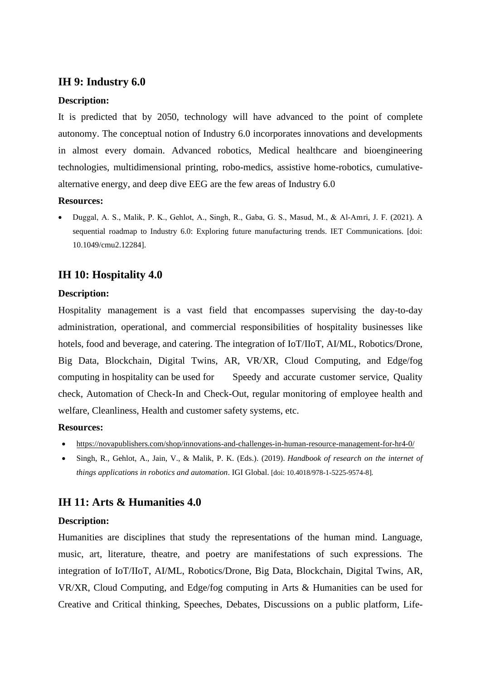## **IH 9: Industry 6.0**

### **Description:**

It is predicted that by 2050, technology will have advanced to the point of complete autonomy. The conceptual notion of Industry 6.0 incorporates innovations and developments in almost every domain. Advanced robotics, Medical healthcare and bioengineering technologies, multidimensional printing, robo-medics, assistive home-robotics, cumulativealternative energy, and deep dive EEG are the few areas of Industry 6.0

#### **Resources:**

• Duggal, A. S., Malik, P. K., Gehlot, A., Singh, R., Gaba, G. S., Masud, M., & Al‐Amri, J. F. (2021). A sequential roadmap to Industry 6.0: Exploring future manufacturing trends. IET Communications. [doi: 10.1049/cmu2.12284].

## **IH 10: Hospitality 4.0**

### **Description:**

Hospitality management is a vast field that encompasses supervising the day-to-day administration, operational, and commercial responsibilities of hospitality businesses like hotels, food and beverage, and catering. The integration of IoT/IIoT, AI/ML, Robotics/Drone, Big Data, Blockchain, Digital Twins, AR, VR/XR, Cloud Computing, and Edge/fog computing in hospitality can be used for Speedy and accurate customer service, Quality check, Automation of Check-In and Check-Out, regular monitoring of employee health and welfare, Cleanliness, Health and customer safety systems, etc.

### **Resources:**

- <https://novapublishers.com/shop/innovations-and-challenges-in-human-resource-management-for-hr4-0/>
- Singh, R., Gehlot, A., Jain, V., & Malik, P. K. (Eds.). (2019). *Handbook of research on the internet of things applications in robotics and automation*. IGI Global. [doi: 10.4018/978-1-5225-9574-8].

# **IH 11: Arts & Humanities 4.0**

#### **Description:**

Humanities are disciplines that study the representations of the human mind. Language, music, art, literature, theatre, and poetry are manifestations of such expressions. The integration of IoT/IIoT, AI/ML, Robotics/Drone, Big Data, Blockchain, Digital Twins, AR, VR/XR, Cloud Computing, and Edge/fog computing in Arts & Humanities can be used for Creative and Critical thinking, Speeches, Debates, Discussions on a public platform, Life